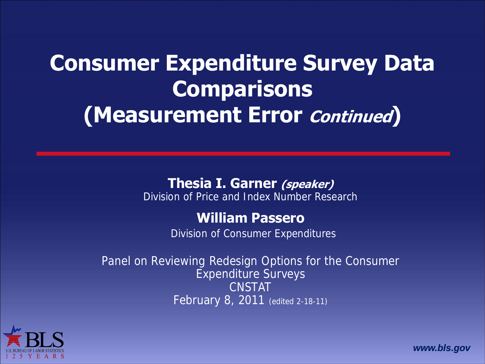### **Consumer Expenditure Survey Data Comparisons (Measurement Error Continued)**

#### **Thesia I. Garner (speaker)**

Division of Price and Index Number Research

#### **William Passero**

Division of Consumer Expenditures

Panel on Reviewing Redesign Options for the Consumer Expenditure Surveys CNSTAT February 8, 2011 (edited 2-18-11)



*www.bls.gov*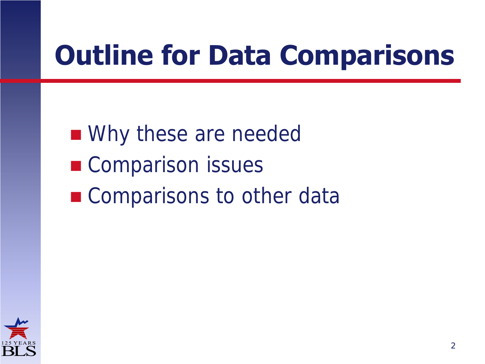### **Outline for Data Comparisons**

■ Why these are needed ■ Comparison issues **Comparisons to other data** 

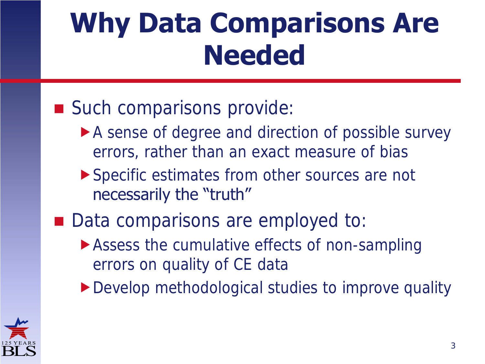### **Why Data Comparisons Are Needed**

#### Such comparisons provide:

- A sense of degree and direction of possible survey errors, rather than an exact measure of bias
- Specific estimates from other sources are not necessarily the "truth"
- Data comparisons are employed to:
	- ▶ Assess the cumulative effects of non-sampling errors on quality of CE data
	- ▶ Develop methodological studies to improve quality

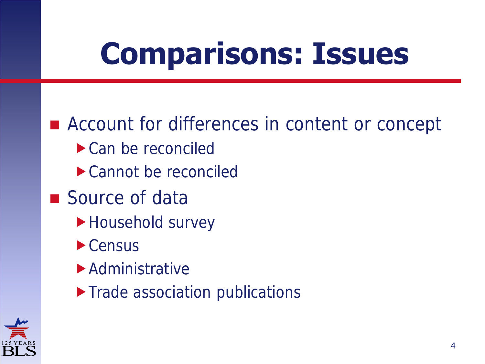## **Comparisons: Issues**

■ Account for differences in content or concept ▶ Can be reconciled Cannot be reconciled ■ Source of data Household survey  $\blacktriangleright$  Census Administrative **Trade association publications** 

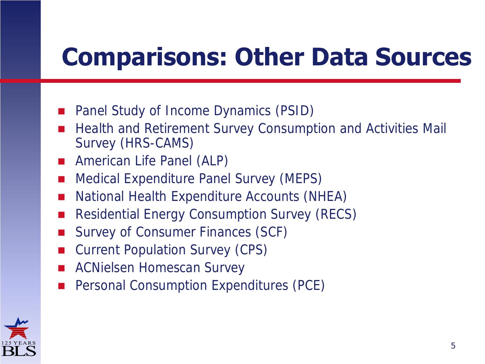### **Comparisons: Other Data Sources**

- Panel Study of Income Dynamics (PSID)
- Health and Retirement Survey Consumption and Activities Mail Survey (HRS-CAMS)
- **American Life Panel (ALP)**
- Medical Expenditure Panel Survey (MEPS)
- National Health Expenditure Accounts (NHEA)
- Residential Energy Consumption Survey (RECS)
- Survey of Consumer Finances (SCF)
- Current Population Survey (CPS)
- **ACNielsen Homescan Survey**
- Personal Consumption Expenditures (PCE)

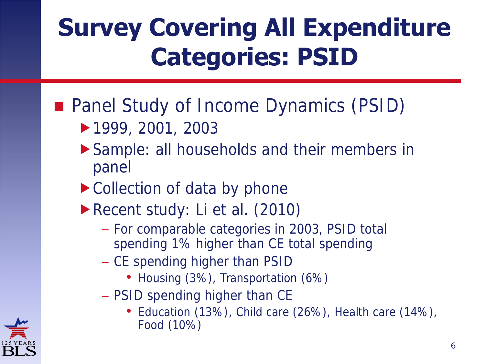### **Survey Covering All Expenditure Categories: PSID**

#### **Panel Study of Income Dynamics (PSID)**

- 1999, 2001, 2003
- Sample: all households and their members in panel
- ▶ Collection of data by phone
- Recent study: Li et al. (2010)
	- For comparable categories in 2003, PSID total spending 1% higher than CE total spending
	- CE spending higher than PSID
		- Housing (3%), Transportation (6%)
	- PSID spending higher than CE
		- Education (13%), Child care (26%), Health care (14%), Food (10%)

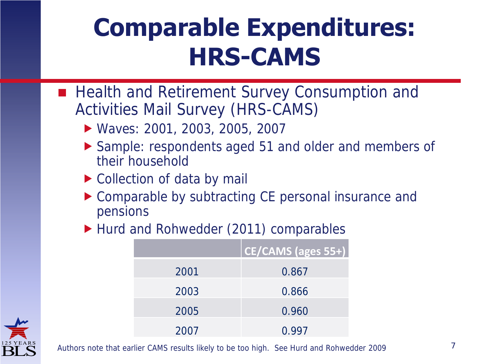### **Comparable Expenditures: HRS-CAMS**

- Health and Retirement Survey Consumption and Activities Mail Survey (HRS-CAMS)
	- Waves: 2001, 2003, 2005, 2007
	- ▶ Sample: respondents aged 51 and older and members of their household
	- ▶ Collection of data by mail
	- ▶ Comparable by subtracting CE personal insurance and pensions
	- Hurd and Rohwedder (2011) comparables

|      | CE/CAMS (ages 55+) |
|------|--------------------|
| 2001 | 0.867              |
| 2003 | 0.866              |
| 2005 | 0.960              |
| 2007 | 0.997              |



Authors note that earlier CAMS results likely to be too high. See Hurd and Rohwedder 2009 7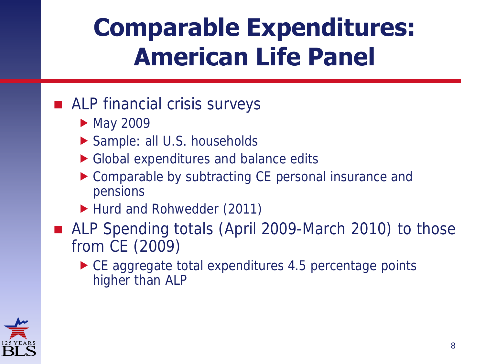### **Comparable Expenditures: American Life Panel**

#### ■ ALP financial crisis surveys

- May 2009
- Sample: all U.S. households
- Global expenditures and balance edits
- ▶ Comparable by subtracting CE personal insurance and pensions
- ▶ Hurd and Rohwedder (2011)
- ALP Spending totals (April 2009-March 2010) to those from CE (2009)
	- ▶ CE aggregate total expenditures 4.5 percentage points higher than ALP

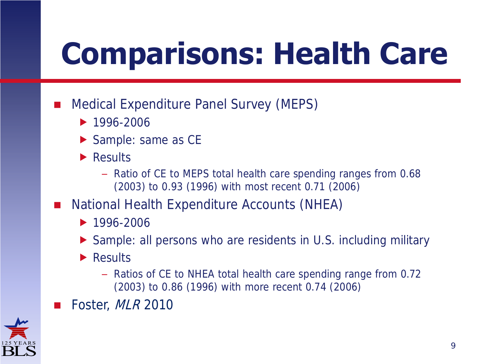## **Comparisons: Health Care**

- Medical Expenditure Panel Survey (MEPS)
	- $1996 2006$
	- Sample: same as CE
	- **Results** 
		- Ratio of CE to MEPS total health care spending ranges from 0.68 (2003) to 0.93 (1996) with most recent 0.71 (2006)
- National Health Expenditure Accounts (NHEA)
	- $1996 2006$
	- Sample: all persons who are residents in U.S. including military
	- **Results** 
		- Ratios of CE to NHEA total health care spending range from 0.72 (2003) to 0.86 (1996) with more recent 0.74 (2006)
- Foster, MLR 2010

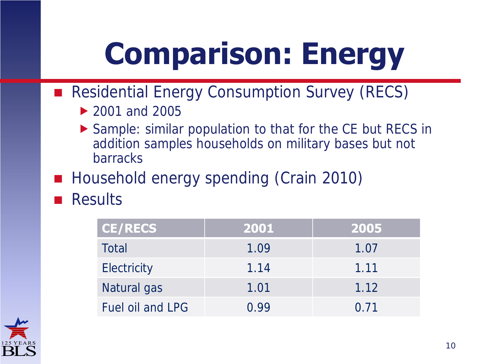## **Comparison: Energy**

- Residential Energy Consumption Survey (RECS)
	- ▶ 2001 and 2005
	- ▶ Sample: similar population to that for the CE but RECS in addition samples households on military bases but not barracks
- Household energy spending (Crain 2010)
- Results

| <b>CE/RECS</b>   | 2001  | 2005 |
|------------------|-------|------|
| Total            | 1.09  | 1.07 |
| Electricity      | 1.14  | 1.11 |
| Natural gas      | 1.01  | 1.12 |
| Fuel oil and LPG | () 99 | 0.71 |

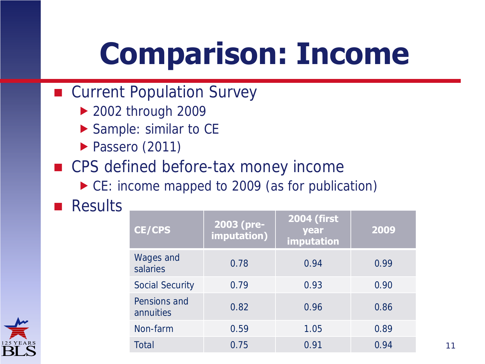## **Comparison: Income**

- Current Population Survey
	- ▶ 2002 through 2009
	- Sample: similar to CE
	- Passero (2011)
- CPS defined before-tax money income
	- ▶ CE: income mapped to 2009 (as for publication)

**Results** 

| <b>CE/CPS</b>             | 2003 (pre-<br>imputation) | <b>2004 (first</b><br>year<br>imputation | 2009 |
|---------------------------|---------------------------|------------------------------------------|------|
| Wages and<br>salaries     | 0.78                      | 0.94                                     | 0.99 |
| Social Security           | 0.79                      | 0.93                                     | 0.90 |
| Pensions and<br>annuities | 0.82                      | 0.96                                     | 0.86 |
| Non-farm                  | 0.59                      | 1.05                                     | 0.89 |
| Total                     | 0.75                      | 0.91                                     | 0.94 |

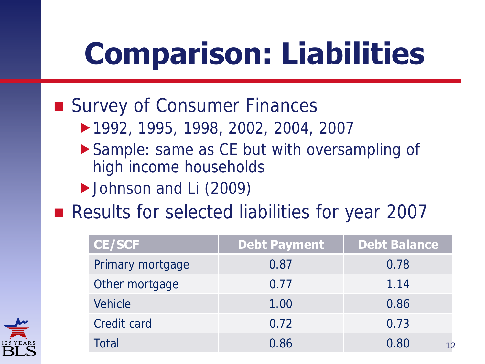## **Comparison: Liabilities**

#### ■ Survey of Consumer Finances

- 1992, 1995, 1998, 2002, 2004, 2007
- ▶ Sample: same as CE but with oversampling of high income households
- Johnson and Li (2009)
- Results for selected liabilities for year 2007

| <b>CE/SCF</b>    | <b>Debt Payment</b> | <b>Debt Balance</b> |
|------------------|---------------------|---------------------|
| Primary mortgage | 0.87                | 0.78                |
| Other mortgage   | 0.77                | 1.14                |
| Vehicle          | 1.00                | 0.86                |
| Credit card      | 0.72                | 0.73                |
| Total            | 0.86                | 0.80<br>12          |

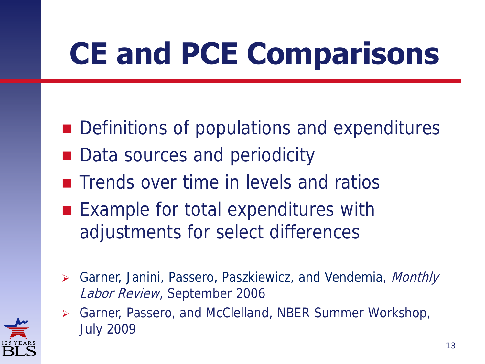# **CE and PCE Comparisons**

- Definitions of populations and expenditures
- Data sources and periodicity
- **The Trends over time in levels and ratios**
- Example for total expenditures with adjustments for select differences
- ▶ Garner, Janini, Passero, Paszkiewicz, and Vendemia, *Monthly* Labor Review, September 2006
- Garner, Passero, and McClelland, NBER Summer Workshop, July 2009

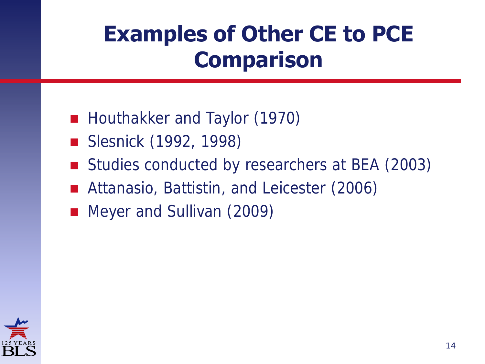### **Examples of Other CE to PCE Comparison**

- Houthakker and Taylor (1970)
- Slesnick (1992, 1998)
- Studies conducted by researchers at BEA (2003)
- Attanasio, Battistin, and Leicester (2006)
- **Meyer and Sullivan (2009)**

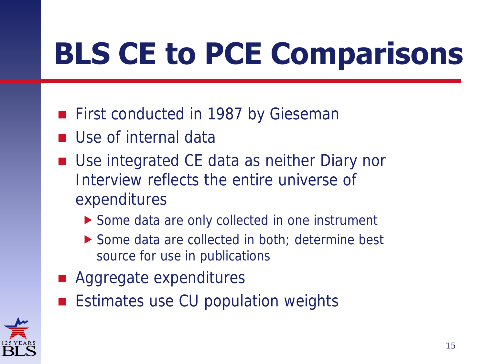## **BLS CE to PCE Comparisons**

- **First conducted in 1987 by Gieseman**
- **Use of internal data**
- Use integrated CE data as neither Diary nor Interview reflects the entire universe of expenditures
	- Some data are only collected in one instrument
	- ▶ Some data are collected in both; determine best source for use in publications
- Aggregate expenditures
- **Estimates use CU population weights**

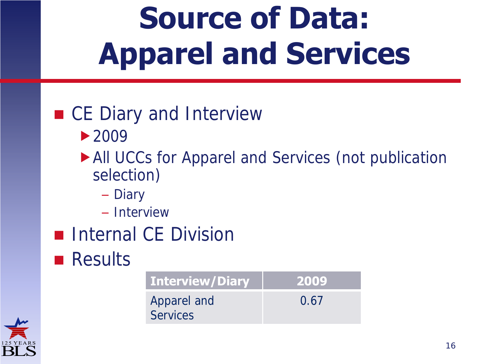## **Source of Data: Apparel and Services**

#### ■ CE Diary and Interview

- ▶ 2009
- All UCCs for Apparel and Services (not publication selection)
	- Diary
	- Interview
- **Internal CE Division**
- **Results**

| <b>Interview/Diary</b>         | 2009 |
|--------------------------------|------|
| Apparel and<br><b>Services</b> | 0.67 |

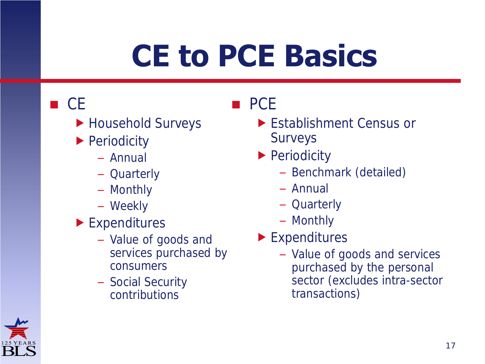## **CE to PCE Basics**

#### $\blacksquare$  CE

- ▶ Household Surveys
- **Periodicity** 
	- Annual
	- Quarterly
	- Monthly
	- Weekly
- **Expenditures** 
	- Value of goods and services purchased by consumers
	- Social Security contributions

#### **PCE**

- **Establishment Census or** Surveys
- **Periodicity** 
	- Benchmark (detailed)
	- Annual
	- Quarterly
	- Monthly
- **Expenditures** 
	- Value of goods and services purchased by the personal sector (excludes intra-sector transactions)

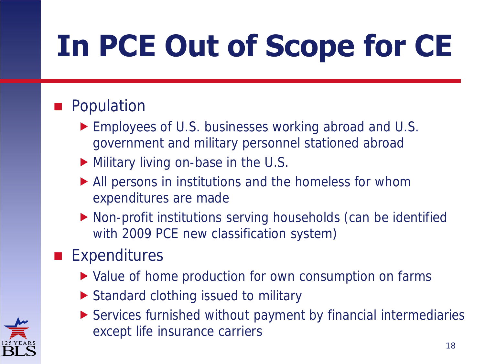# **In PCE Out of Scope for CE**

#### **Population**

- ▶ Employees of U.S. businesses working abroad and U.S. government and military personnel stationed abroad
- Military living on-base in the U.S.
- All persons in institutions and the homeless for whom expenditures are made
- Non-profit institutions serving households (can be identified with 2009 PCE new classification system)

#### **Expenditures**

- ▶ Value of home production for own consumption on farms
- ▶ Standard clothing issued to military



 Services furnished without payment by financial intermediaries except life insurance carriers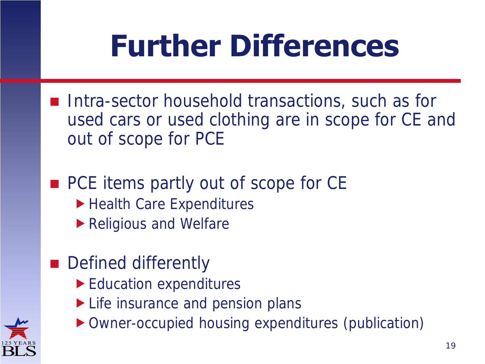## **Further Differences**

- Intra-sector household transactions, such as for used cars or used clothing are in scope for CE and out of scope for PCE
- PCE items partly out of scope for CE
	- ▶ Health Care Expenditures
	- ▶ Religious and Welfare
- **Defined differently** 
	- Education expenditures
	- Life insurance and pension plans
	- Owner-occupied housing expenditures (publication)

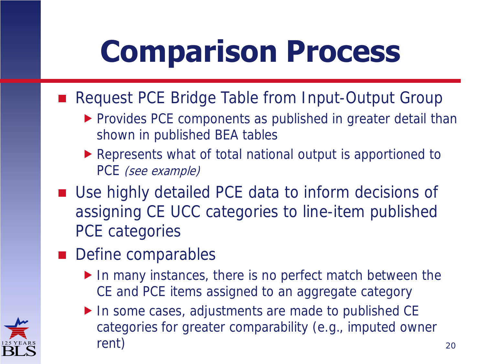## **Comparison Process**

- Request PCE Bridge Table from Input-Output Group
	- **Provides PCE components as published in greater detail than** shown in published BEA tables
	- Represents what of total national output is apportioned to PCE (see example)
- Use highly detailed PCE data to inform decisions of assigning CE UCC categories to line-item published PCE categories
- **Define comparables** 
	- In many instances, there is no perfect match between the CE and PCE items assigned to an aggregate category
	- In some cases, adjustments are made to published CE categories for greater comparability (e.g., imputed owner rent) and the contract of the contract of the contract of the contract of the contract of the contract of the contract of the contract of the contract of the contract of the contract of the contract of the contract of the

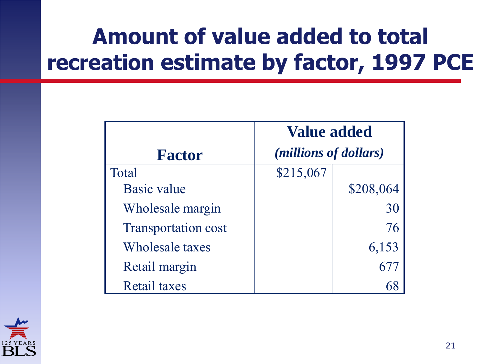### **Amount of value added to total recreation estimate by factor, 1997 PCE**

|                            | <b>Value added</b>             |           |  |  |  |
|----------------------------|--------------------------------|-----------|--|--|--|
| <b>Factor</b>              | ( <i>millions of dollars</i> ) |           |  |  |  |
| Total                      | \$215,067                      |           |  |  |  |
| <b>Basic value</b>         |                                | \$208,064 |  |  |  |
| Wholesale margin           |                                | 30        |  |  |  |
| <b>Transportation cost</b> |                                | 76        |  |  |  |
| Wholesale taxes            |                                | 6,153     |  |  |  |
| Retail margin              |                                |           |  |  |  |
| <b>Retail taxes</b>        |                                |           |  |  |  |

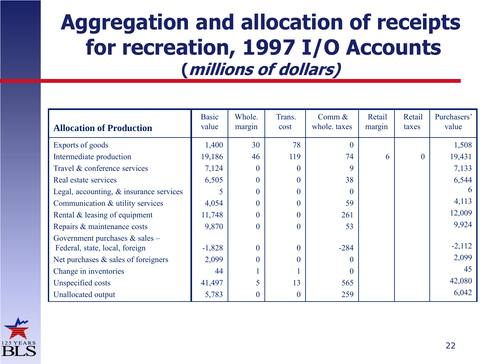#### **Aggregation and allocation of receipts for recreation, 1997 I/O Accounts (millions of dollars)**

| <b>Allocation of Production</b>            | <b>Basic</b><br>value | Whole.<br>margin | Trans.<br>cost | Comm $\&$<br>whole, taxes | Retail<br>margin | Retail<br>taxes | Purchasers'<br>value |
|--------------------------------------------|-----------------------|------------------|----------------|---------------------------|------------------|-----------------|----------------------|
| Exports of goods                           | 1,400                 | 30               | 78             | $\Omega$                  |                  |                 | 1,508                |
| Intermediate production                    | 19,186                | 46               | 119            | 74                        | 6                | $\overline{0}$  | 19,431               |
| Travel & conference services               | 7,124                 | $\theta$         | 0              | 9                         |                  |                 | 7,133                |
| Real estate services                       | 6,505                 | $\overline{0}$   | 0              | 38                        |                  |                 | 6,544                |
| Legal, accounting, $\&$ insurance services | 5                     | $\theta$         | 0              | $\Omega$                  |                  |                 |                      |
| Communication & utility services           | 4,054                 | $\theta$         | 0              | 59                        |                  |                 | 4,113                |
| Rental & leasing of equipment              | 11,748                | $\overline{0}$   | 0              | 261                       |                  |                 | 12,009               |
| Repairs & maintenance costs                | 9,870                 | $\overline{0}$   | $\theta$       | 53                        |                  |                 | 9,924                |
| Government purchases $&$ sales –           |                       |                  |                |                           |                  |                 |                      |
| Federal, state, local, foreign             | $-1,828$              | $\theta$         | 0              | $-284$                    |                  |                 | $-2,112$             |
| Net purchases $\&$ sales of foreigners     | 2,099                 | $\Omega$         | 0              |                           |                  |                 | 2,099                |
| Change in inventories                      | 44                    |                  |                | $\Omega$                  |                  |                 | 45                   |
| Unspecified costs                          | 41,497                | 5                | 13             | 565                       |                  |                 | 42,080               |
| Unallocated output                         | 5,783                 | $\theta$         | $\theta$       | 259                       |                  |                 | 6,042                |

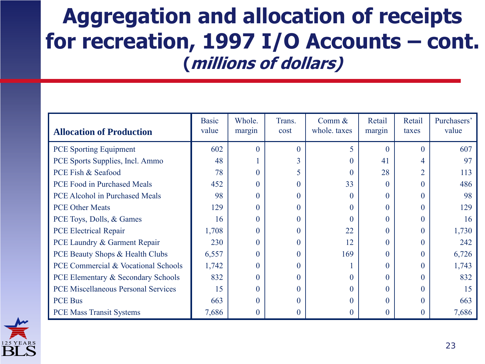#### **Aggregation and allocation of receipts for recreation, 1997 I/O Accounts – cont. (millions of dollars)**

| <b>Allocation of Production</b>            | <b>Basic</b><br>value | Whole.<br>margin | Trans.<br>cost | Comm $\&$<br>whole. taxes | Retail<br>margin | Retail<br>taxes | Purchasers'<br>value |
|--------------------------------------------|-----------------------|------------------|----------------|---------------------------|------------------|-----------------|----------------------|
| <b>PCE</b> Sporting Equipment              | 602                   | $\Omega$         |                |                           |                  | $\Omega$        | 607                  |
| PCE Sports Supplies, Incl. Ammo            | 48                    |                  |                | 0                         | 41               | 4               | 97                   |
| PCE Fish & Seafood                         | 78                    | $\Omega$         |                |                           | 28               | $\overline{2}$  | 113                  |
| PCE Food in Purchased Meals                | 452                   | 0                |                | 33                        | 0                | $\Omega$        | 486                  |
| PCE Alcohol in Purchased Meals             | 98                    | $\Omega$         |                | 0                         | 0                | $\Omega$        | 98                   |
| <b>PCE Other Meats</b>                     | 129                   | 0                | 0              | $\mathbf{0}$              | 0                | $\Omega$        | 129                  |
| PCE Toys, Dolls, & Games                   | 16                    | 0                |                |                           | 0                | $\Omega$        | 16                   |
| <b>PCE Electrical Repair</b>               | 1,708                 | 0                | 0              | 22                        | 0                | $\Omega$        | 1,730                |
| PCE Laundry & Garment Repair               | 230                   | 0                |                | 12                        | 0                | $\Omega$        | 242                  |
| PCE Beauty Shops & Health Clubs            | 6,557                 | 0                |                | 169                       | 0                | $\Omega$        | 6,726                |
| PCE Commercial & Vocational Schools        | 1,742                 | 0                |                |                           | 0                | $\Omega$        | 1,743                |
| PCE Elementary & Secondary Schools         | 832                   | $\Omega$         |                |                           | 0                | $\Omega$        | 832                  |
| <b>PCE Miscellaneous Personal Services</b> | 15                    | 0                | 0              | 0                         | 0                | $\Omega$        | 15                   |
| <b>PCE Bus</b>                             | 663                   | $\Omega$         |                |                           | 0                | $\Omega$        | 663                  |
| <b>PCE Mass Transit Systems</b>            | 7,686                 | $\theta$         |                |                           |                  |                 | 7,686                |

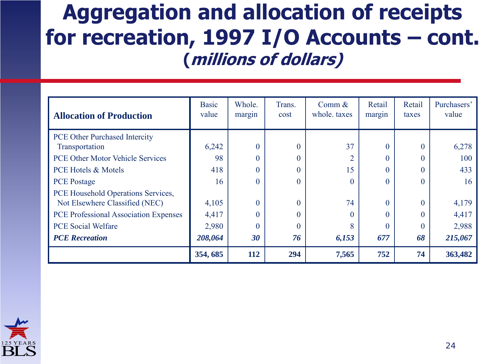#### **Aggregation and allocation of receipts for recreation, 1997 I/O Accounts – cont. (millions of dollars)**

| <b>Allocation of Production</b>         | <b>Basic</b><br>value | Whole.<br>margin | Trans.<br>cost | Comm $&$<br>whole, taxes | Retail<br>margin | Retail<br>taxes | Purchasers'<br>value |
|-----------------------------------------|-----------------------|------------------|----------------|--------------------------|------------------|-----------------|----------------------|
| <b>PCE Other Purchased Intercity</b>    |                       |                  |                |                          |                  |                 |                      |
| Transportation                          | 6,242                 | $\theta$         | $\theta$       | 37                       | $\Omega$         | $\Omega$        | 6,278                |
| <b>PCE Other Motor Vehicle Services</b> | 98                    | $\theta$         | $\theta$       | $\overline{2}$           | 0                | $\Omega$        | 100                  |
| <b>PCE Hotels &amp; Motels</b>          | 418                   | $\overline{0}$   | $\theta$       | 15                       |                  | $\Omega$        | 433                  |
| <b>PCE</b> Postage                      | 16                    | $\theta$         | $\Omega$       | $\Omega$                 | 0                | $\Omega$        | 16                   |
| PCE Household Operations Services,      |                       |                  |                |                          |                  |                 |                      |
| Not Elsewhere Classified (NEC)          | 4,105                 | $\theta$         | $\theta$       | 74                       | $\Omega$         | $\Omega$        | 4,179                |
| PCE Professional Association Expenses   | 4,417                 | $\overline{0}$   | $\theta$       | $\Omega$                 |                  | $\Omega$        | 4,417                |
| <b>PCE Social Welfare</b>               | 2,980                 | $\theta$         | $\theta$       | 8                        | 0                | $\Omega$        | 2,988                |
| <b>PCE</b> Recreation                   | 208,064               | 30               | 76             | 6,153                    | 677              | 68              | 215,067              |
|                                         | 354, 685              | 112              | 294            | 7,565                    | 752              | 74              | 363,482              |

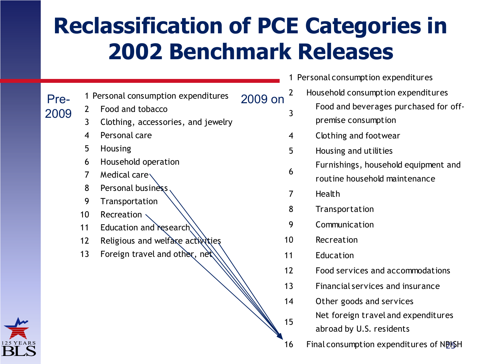### **Reclassification of PCE Categories in 2002 Benchmark Releases**

Pre-2009

- 1 Personal consumption expenditures 2009 on
- 1 Personal consumpti<br>2 Food and tobacco
- 2 Food and tobacco<br>3 Clothing, accessories, and jewelry
- 3 Clothing, acce<br>4 Personal care 4 Personal care<br>5 Housing
- 
- 6 Household operation
- 7 Medical care $\setminus$
- 8 Personal business
- 9 Transportation
- 10 Recreation
- 11 Education and research
- 12 Religious and welfare activities
- 13 Foreign travel and other,  $neq$



- 1 Personal consumption expenditures
	- 2 Household consumption expenditures Food and beverages purchased for offpremise consumption
- 4 Clothing and footwear
- 5 Housing and utilities
	- Furnishings, household equipment and
	- routine household maintenance
- 7 Health

3

6

15

- 8 Transportation
- 9 Communication
- 10 Recreation
- 11 Education
- 12 Food services and accommodations
- 13 Financial services and insurance
- 14 Other goods and services
	- Net foreign travel and expenditures
	- abroad by U.S. residents
- 16 Final consumption expenditures of NPSH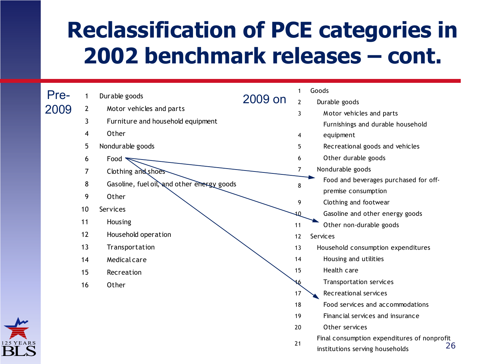### **Reclassification of PCE categories in 2002 benchmark releases – cont.**

| Pre- |                | Durable goods                              |         | 1              | Goods                                                                                |
|------|----------------|--------------------------------------------|---------|----------------|--------------------------------------------------------------------------------------|
|      |                |                                            | 2009 on | $\overline{2}$ | Durable goods                                                                        |
| 2009 | $\overline{2}$ | Motor vehicles and parts                   |         | 3              | Motor vehicles and parts                                                             |
|      | 3              | Furniture and household equipment          |         |                | Furnishings and durable household                                                    |
|      | 4              | Other                                      |         | 4              | equipment                                                                            |
|      | 5              | Nondurable goods                           |         | 5              | Recreational goods and vehicles                                                      |
|      | 6              | Food $\blacktriangledown$                  |         | 6              | Other durable goods                                                                  |
|      | 7              | Clothing and shoes                         |         | 7              | Nondurable goods                                                                     |
|      | 8              | Gasoline, fuel oil, and other energy goods |         | 8              | Food and beverages purchased for off-                                                |
|      | 9              | Other                                      |         |                | premise consumption                                                                  |
|      |                |                                            |         | 9              | Clothing and footwear                                                                |
|      | 10             | Services                                   |         |                | Gasoline and other energy goods                                                      |
|      | 11             | Housing                                    |         | 11             | Other non-durable goods                                                              |
|      | 12             | Household operation                        |         | 12             | Services                                                                             |
|      | 13             | Transportation                             |         | 13             | Household consumption expenditures                                                   |
|      | 14             | Medical care                               |         | 14             | Housing and utilities                                                                |
|      | 15             | Recreation                                 |         | 15             | Health care                                                                          |
|      | 16             | Other                                      |         | 16             | Transportation services                                                              |
|      |                |                                            |         | 17             | Recreational services                                                                |
|      |                |                                            |         | 18             | Food services and accommodations                                                     |
|      |                |                                            |         | 19             | Financial services and insurance                                                     |
|      |                |                                            |         | 20             | Other services                                                                       |
|      |                |                                            |         | 21             | Final consumption expenditures of nonprofit<br>26<br>institutions serving households |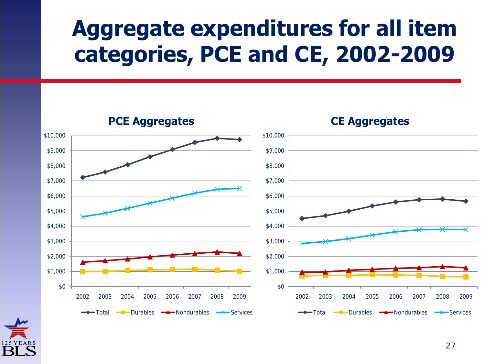### **Aggregate expenditures for all item categories, PCE and CE, 2002-2009**



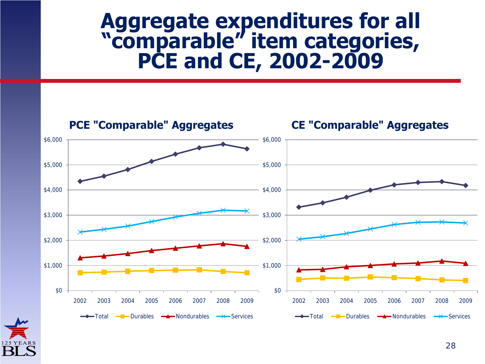#### **Aggregate expenditures for all "comparable" item categories, PCE and CE, 2002-2009**



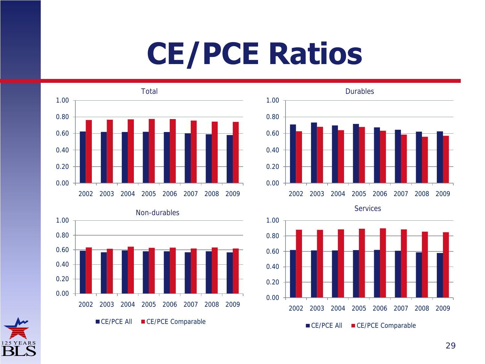## **CE/PCE Ratios**







Services



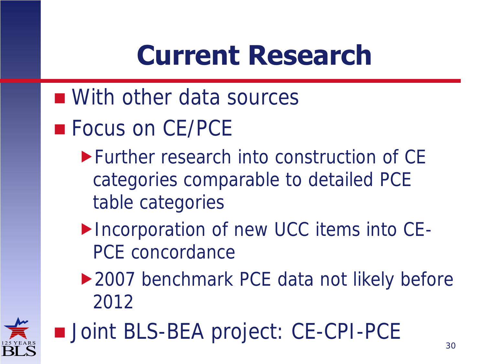### **Current Research**

- With other data sources
- **Focus on CE/PCE** 
	- Further research into construction of CE categories comparable to detailed PCE table categories
	- ▶ Incorporation of new UCC items into CE-PCE concordance
	- ▶ 2007 benchmark PCE data not likely before 2012



■ Joint BLS-BEA project: CE-CPI-PCE